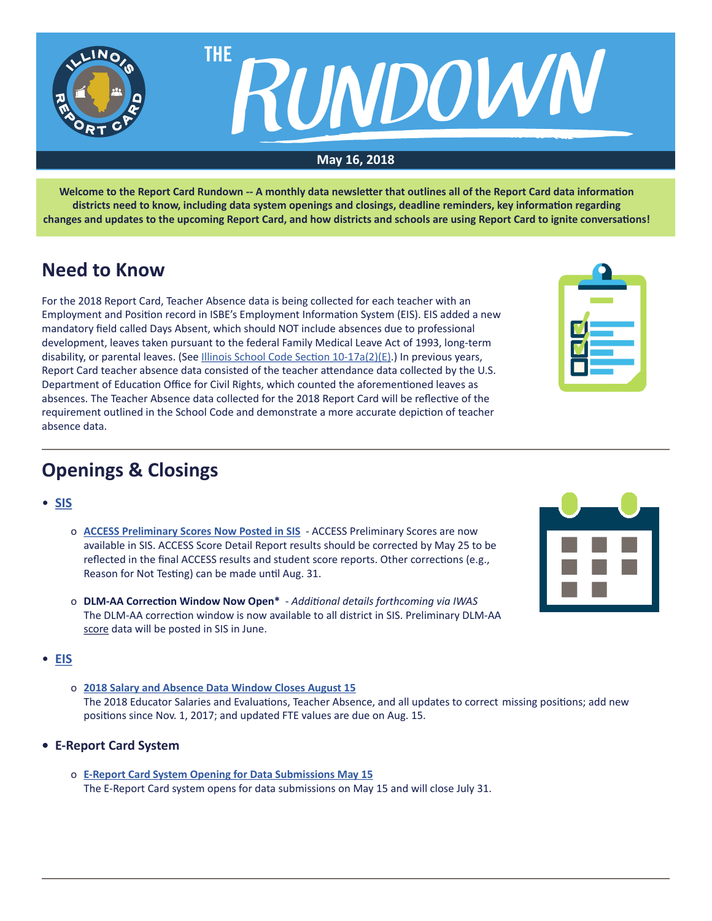

**Welcome to the Report Card Rundown -- A monthly data newsletter that outlines all of the Report Card data information districts need to know, including data system openings and closings, deadline reminders, key information regarding changes and updates to the upcoming Report Card, and how districts and schools are using Report Card to ignite conversations!**

# **Need to Know**

For the 2018 Report Card, Teacher Absence data is being collected for each teacher with an Employment and Position record in ISBE's Employment Information System (EIS). EIS added a new mandatory field called Days Absent, which should NOT include absences due to professional development, leaves taken pursuant to the federal Family Medical Leave Act of 1993, long-term disability, or parental leaves. (See [Illinois School Code Section 10-17a\(2\)\(E\)](http://www.ilga.gov/legislation/ilcs/fulltext.asp?DocName=010500050K10-17a).) In previous years, Report Card teacher absence data consisted of the teacher attendance data collected by the U.S. Department of Education Office for Civil Rights, which counted the aforementioned leaves as absences. The Teacher Absence data collected for the 2018 Report Card will be reflective of the requirement outlined in the School Code and demonstrate a more accurate depiction of teacher absence data.

| P)                            |  |
|-------------------------------|--|
|                               |  |
| <u>a sa sala</u><br>U,<br>__  |  |
| □<br>$\overline{\phantom{a}}$ |  |
|                               |  |

# **Openings & Closings**

- **[SIS](https://www.isbe.net/Pages/Student-Information-System.aspx)**
	- o **[ACCESS Preliminary Scores Now Posted in SIS](https://www.isbe.net/Documents/ACCESS-Scores.pdf)** ACCESS Preliminary Scores are now available in SIS. ACCESS Score Detail Report results should be corrected by May 25 to be reflected in the final ACCESS results and student score reports. Other corrections (e.g., Reason for Not Testing) can be made until Aug. 31.
	- o **DLM-AA Correction Window Now Open\***  *Additional details forthcoming via IWAS* The DLM-AA correction window is now available to all district in SIS. Preliminary DLM-AA score data will be posted in SIS in June.

## • **[EIS](https://www.isbe.net/Pages/Employment-Information-System.aspx)**

- o **[2018 Salary and Absence Data Window](https://www.isbe.net/Documents/EIS_2018_Salary_Absence_Entry_Open.pdf) Closes August 15** The 2018 Educator Salaries and Evaluations, Teacher Absence, and all updates to correct missing positions; add new positions since Nov. 1, 2017; and updated FTE values are due on Aug. 15.
- **• E-Report Card System**
	- o **[E-Report Card System Opening for Data Submissions May 15](https://www.isbe.net/Documents/E-Report_Card_System_Opening_Data_Submissions.pdf)** The E-Report Card system opens for data submissions on May 15 and will close July 31.

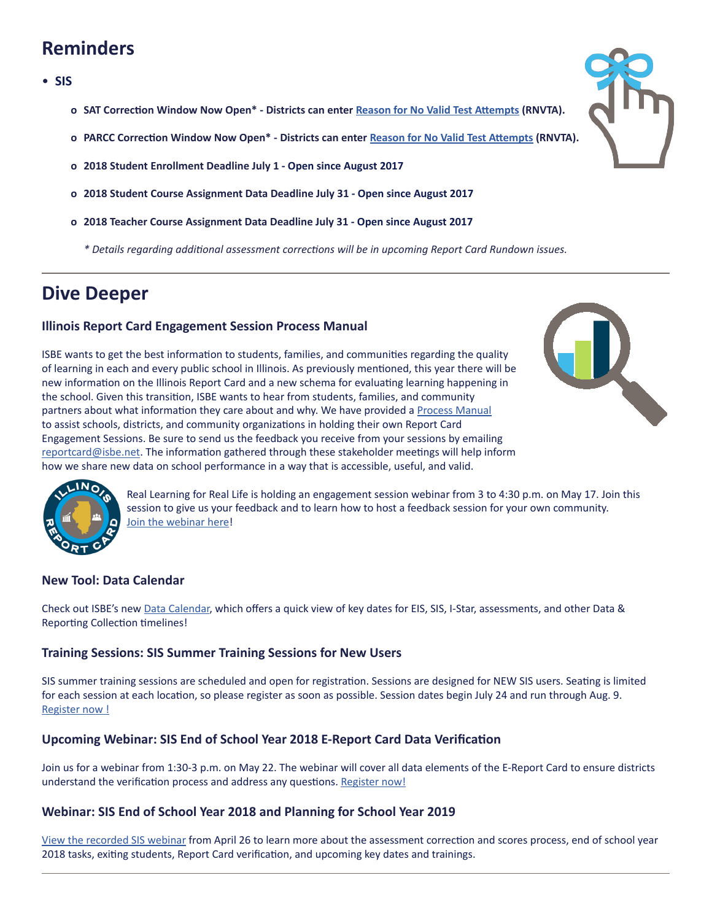# **Reminders**

#### • **SIS**

- **o SAT Correction Window Now Open\* Districts can enter [Reason for No Valid Test Attempts](https://www.isbe.net/Documents/reason-no-valid-test-attmpt.pdf) (RNVTA).**
- **o PARCC Correction Window Now Open\* Districts can enter [Reason for No Valid Test Attempts](https://www.isbe.net/Documents/reason-no-valid-test-attmpt.pdf) (RNVTA).**
- **o 2018 Student Enrollment Deadline July 1 Open since August 2017**
- **o 2018 Student Course Assignment Data Deadline July 31 Open since August 2017**
- **o 2018 Teacher Course Assignment Data Deadline July 31 Open since August 2017** 
	- *\* Details regarding additional assessment corrections will be in upcoming Report Card Rundown issues.*

# **Dive Deeper**

## **Illinois Report Card Engagement Session Process Manual**

ISBE wants to get the best information to students, families, and communities regarding the quality of learning in each and every public school in Illinois. As previously mentioned, this year there will be new information on the Illinois Report Card and a new schema for evaluating learning happening in the school. Given this transition, ISBE wants to hear from students, families, and community partners about what information they care about and why. We have provided a [Process Manual](https://www.isbe.net/ilreportcard) to assist schools, districts, and community organizations in holding their own Report Card Engagement Sessions. Be sure to send us the feedback you receive from your sessions by emailing [reportcard@isbe.net.](mailto:reportcard@isbe.net) The information gathered through these stakeholder meetings will help inform how we share new data on school performance in a way that is accessible, useful, and valid.





Real Learning for Real Life is holding an engagement session webinar from 3 to 4:30 p.m. on May 17. Join this session to give us your feedback and to learn how to host a feedback session for your own community. [Join the webinar here](https://global.gotomeeting.com/join/552885717?mc_cid=3663e027c7&mc_eid=2622f6f012)!

### **New Tool: Data Calendar**

Check out ISBE's new [Data Calendar](https://www.isbe.net/Pages/ISBE-Education-Data-Systems-Calendar.aspx), which offers a quick view of key dates for EIS, SIS, I-Star, assessments, and other Data & Reporting Collection timelines!

### **Training Sessions: SIS Summer Training Sessions for New Users**

SIS summer training sessions are scheduled and open for registration. Sessions are designed for NEW SIS users. Seating is limited for each session at each location, so please register as soon as possible. Session dates begin July 24 and run through Aug. 9. [Register no](http://webapps.isbe.net/ISBEConference/)w !

### **Upcoming Webinar: SIS End of School Year 2018 E-Report Card Data Verification**

Join us for a webinar from 1:30-3 p.m. on May 22. The webinar will cover all data elements of the E-Report Card to ensure districts understand the verification process and address any questions. [Register now!](https://register.gotowebinar.com/register/8264933638775133699)

### **Webinar: SIS End of School Year 2018 and Planning for School Year 2019**

[View the recorded SIS webinar](https://register.gotowebinar.com/recording/214738309796375299) from April 26 to learn more about the assessment correction and scores process, end of school year 2018 tasks, exiting students, Report Card verification, and upcoming key dates and trainings.